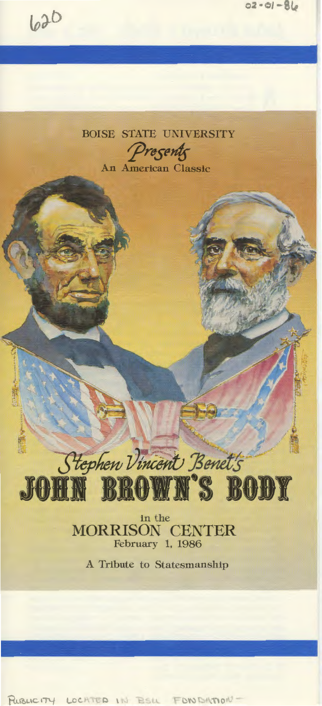



in the MORRISON CENTER February 1, 1986

Hephen Vincent, Benet's

JOHN BROWN'S BODY

""!:.: *"\"lf!'* 

A Tribute to Statesmanship

PUBLICITY LOCATED IN ESIL FONDATION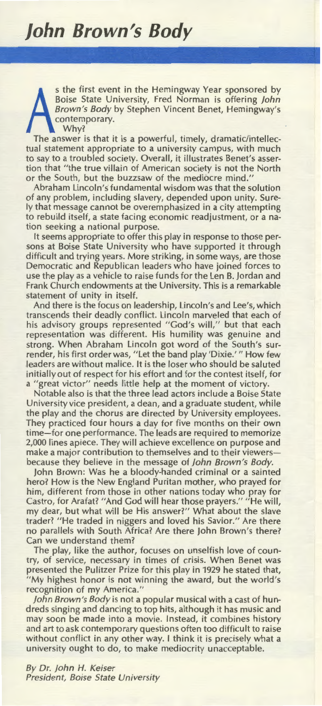S the first event in the Hemingway Year sponsored by<br>Boise State University, Fred Norman is offering John<br>Brown's Body by Stephen Vincent Benet, Hemingway's<br>contemporary.<br>Why?<br>The answer is that it is a powerful, timely, d s the first event in the Hemingway Year sponsored by Boise State University, Fred Norman is offering John Brown's Body by Stephen Vincent Benet, Hemingway's contemporary. Why?

tual statement appropriate to a university campus, with much to say to a troubled society. Overall, it illustrates Benet's assertion that "the true villain of American society is not the North or the South, but the buzzsaw of the mediocre mind."

Abraham Lincoln's fundamental wisdom was that the solution of any problem, including slavery, depended upon unity. Surely that message cannot be overemphasized in a city attempting to rebuild itself, a state facing economic readjustment, or a nation seeking a national purpose.

It seems appropriate to offer this play in response to those persons at Boise State University who have supported it through difficult and trying years. More striking, in some ways, are those Democratic and Republican leaders who have joined forces to use the play as a vehicle to raise funds for the Len B. jordan and Frank Church endowments at the University. This is a remarkable statement of unity in itself.

And there is the focus on leadership, Lincoln's and Lee's, which transcends their deadly conflict. Lincoln marveled that each of his advisory groups represented "God's will," but that each representation was different. His humility was genuine and strong. When Abraham Lincoln got word of the South's surrender, his first order was, "Let the band play 'Dixie.'" How few leaders are without malice. It is the loser who should be saluted initially out of respect for his effort and for the contest itself, for a "great victor" needs little help at the moment of victory.

Notable also is that the three lead actors include a Boise State University vice president, a dean, and a graduate student, while the play and the chorus are directed by University employees. They practiced four hours a day for five months on their own time-for one performance. The leads are required to memorize 2,000 lines apiece. They will achieve excellence on purpose and make a major contribution to themselves and to their viewersbecause they believe in the message of john Brown's Body.

john Brown: Was he a bloody-handed criminal or a sainted hero? How is the New England Puritan mother, who prayed for him, different from those in other nations today who pray for Castro, for Arafat? "And God will hear those prayers." "He will, my dear, but what will be His answer?" What about the slave trader? "He traded in niggers and loved his Savior." Are there no parallels with South Africa? Are there john Brown's there? Can we understand them?

The play, like the author, focuses on unselfish love of country, of service, necessary in times of crisis. When Benet was presented the Pulitzer Prize for this play in 1929 he stated that, "My highest honor is not winning the award, but the world's recognition of my America."

John Brown's Body is not a popular musical with a cast of hundreds singing and dancing to top hits, although it has music and may soon be made into a movie. Instead, it combines history and art to ask contemporary questions often too difficult to raise without conflict in any other way. I think it is precisely what a university ought to do, to make mediocrity unacceptable.

By Dr. john H. Keiser President, Boise State University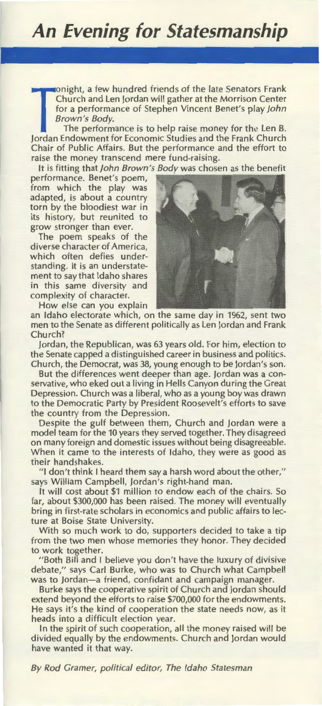Frank Church and Len Jordan will gather at the Morrison Center<br>for a performance of Stephen Vincent Benet's play John<br>*Brown's Body*.<br>The performance is to help raise money for the Len B.<br>Jordan Endowment for Economic Stud onight, a few hundred friends of the late Senators Frank Church and Len jordan will gather at the Morrison Center for a performance of Stephen Vincent Benet's play john Brown's Body.

The performance is to help raise money for the Len B. Chair of Public Affairs. But the performance and the effort to raise the money transcend mere fund-raising.

It is fitting that john Brown's Body was chosen as the benefit

performance. Benet's poem, from which the play was adapted, is about a country torn by the bloodiest war in its history, but reunited to grow stronger than ever.

The poem speaks of the diverse character of America, which often defies understanding. It is an understatement to say that Idaho shares in this same diversity and complexity of character.

How else can you explain



an Idaho electorate which, on the same day in 1962, sent two men to the Senate as different politically as Len jordan and Frank Church?

jordan, the Republican, was 63 years old. For him, election to the Senate capped a distinguished career in business and politics. Church, the Democrat, was 38, young enough to be jordan's son.

But the differences went deeper than age. jordan was a conservative, who eked out a living in Hells Canyon during the Great Depression. Church was a liberal, who as a young boy was drawn to the Democratic Party by President Roosevelt's efforts to save the country from the Depression.

Despite the gulf between them, Church and jordan were a model team for the 10 years they served together. They disagreed on many foreign and domestic issues without being disagreeable. When it came to the interests of Idaho, they were as good as their handshakes.

"I don't think I heard them say a harsh word about the other," says William Campbell, jordan's right-hand man.

It will cost about \$1 million to endow each of the chairs. So far, about \$300,000 has been raised. The money will eventually bring in first-rate scholars in economics and public affairs to lecture at Boise State University.

With so much work to do, supporters decided to take a tip from the two men whose memories they honor. They decided to work together.

"Both Bill and I believe you don't have the luxury of divisive debate," says Carl Burke, who was to Church what Campbell was to Jordan-a friend, confidant and campaign manager.

Burke says the cooperative spirit of Church and jordan should extend beyond the efforts to raise \$700,000 for the endowments. He says it's the kind of cooperation the state needs now, as it heads into a difficult election year.

In the spirit of such cooperation, all the money raised will be divided equally by the endowments. Church and jordan would have wanted it that way.

By Rod Cramer, political editor, The Idaho Statesman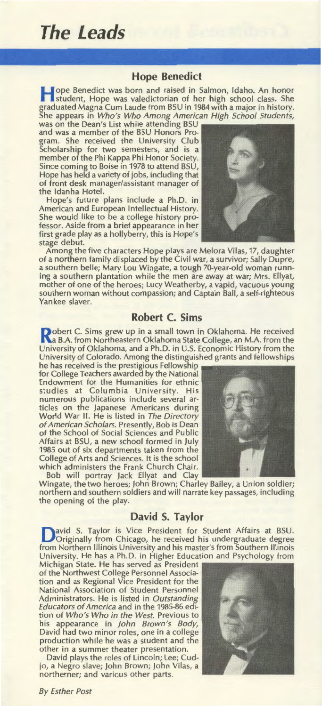# **The Leads**

### **Hope Benedict**

Tope Benedict was born and raised in Salmon, Idaho. An honor student, Hope was valedictorian of her high school class. She graduated Magna Cum Laude from BSU in 1984 with a major in history. She appears in Who's Who Among American High School Students,

was on the Dean's List while attending BSU and was a member of the BSU Honors Program. She received the University Club Scholarship for two semesters, and is a member of the Phi Kappa Phi Honor Society. Since coming to Boise in 1978 to attend BSU, Hope has held a variety of jobs, including that of front desk manager/assistant manager of the Idanha Hotel.

Hope's future plans include a Ph.D. in American and European Intellectual History. She would like to be a college history professor. Aside from a brief appearance in her first grade play as a hollyberry, this is Hope's stage debut.

Yankee slaver.

Among the five characters Hope plays are Melora Vilas, 17, daughter of a northern family displaced by the Civil war, a survivor; Sally Dupre, a southern belle; Mary Lou Wingate, a tough 70-year-old woman running a southern plantation while the men are away at war; Mrs. Ellyat, mother of one of the heroes; Lucy Weatherby, a vapid, vacuous young southern woman without compassion; and Captain Ball, a self-righteous

### **Robert C. Sims**

**Robert C. Sims grew up in a small town in Oklahoma. He received Na B.A. from Northeastern Oklahoma State College, an M.A. from the** University of Oklahoma, and a Ph.D. in U.S. Economic History from the University of Colorado. Among the distinguished grants and fellowships

he has received is the prestigious Fellowship for College Teachers awarded by the National Endowment for the Humanities for ethnic studies at Columbia University. His numerous publications include several articles on the japanese Americans during World War II. He is listed in The Directory of American Scholars. Presently, Bob is Dean of the School of Social Sciences and Public Affairs at BSU, a new school formed in july 1985 out of six departments taken from the College of Arts and Sciences. It is the school which administers the Frank Church Chair.

Bob will portray jack Ellyat and Clay Wingate, the two heroes; john Brown; Charley Bailey, a Union soldier; northern and southern soldiers and will narrate key passages, including the opening of the play.

### **David S. Taylor**

**D**avid S. Taylor is Vice President for Student Affairs at BSU.<br>Originally from Chicago, he received his undergraduate degree from Northern Illinois University and his master's from Southern Illinois University. He has a Ph.D. in Higher Education and Psychology from

Michigan State. He has served as President of the Northwest College Personnel Association and as Regional Vice President for the National Association of Student Personnel Administrators. He is listed in Outstanding Educators of America and in the 1985-86 edition of Who's Who in the West. Previous to his appearance in John Brown's Body, David had two minor roles, one in a college production while he was a student and the other in a summer theater presentation.

David plays the roles of Lincoln; Lee; Cudjo, a Negro slave; john Brown; john Vilas, a northerner; and various other parts.

By Esther Post





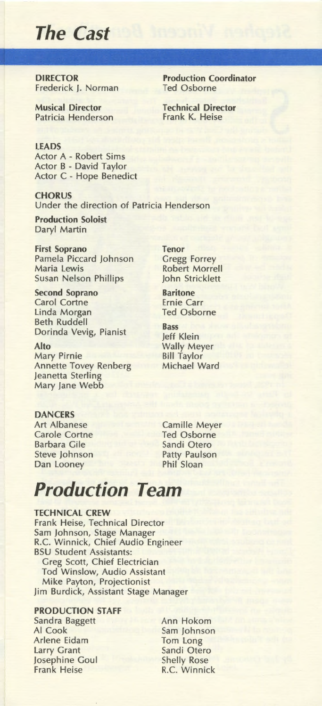# **The Cast**

**DIRECTOR** Frederick J. Norman

Musical Director Patricia Henderson Production Coordinator Ted Osborne

Technical Director Frank K. Heise

LEADS Actor A - Robert Sims Actor B - David Taylor Actor C - Hope Benedict

**CHORUS** Under the direction of Patricia Henderson

Production Soloist Daryl Martin

First Soprano Pamela Piccard Johnson Maria lewis Susan Nelson Phillips

Second Soprano Carol Cortne linda Morgan Beth Ruddell Dorinda Vevig, Pianist

Alto Mary Pirnie Annette Tovey Renberg Jeanetta Sterling Mary Jane Webb

Tenor Gregg Forrey Robert Morrell John Stricklett

Baritone Ernie Carr Ted Osborne

Bass Jeff Klein Wally Meyer Bill Taylor Michael Ward

DANCERS Art Albanese Carole Cortne Barbara Gile Steve Johnson Dan Looney

Camille Meyer Ted Osborne Sandi Otero Patty Paulson Phil Sloan

# **Production Team**

TECHNICAL CREW Frank Heise, Technical Director Sam Johnson, Stage Manager R.C. Winnick, Chief Audio Engineer BSU Student Assistants: Greg Scott, Chief Electrician Tod Winslow, Audio Assistant Mike Payton, Projectionist Jim Burdick, Assistant Stage Manager

### PRODUCTION STAFF

Sandra Baggett AI Cook Arlene Eidam larry Grant Josephine Goul Frank Heise

Ann Hokom Sam Johnson Tom Long Sandi Otero Shelly Rose R.C. Winnick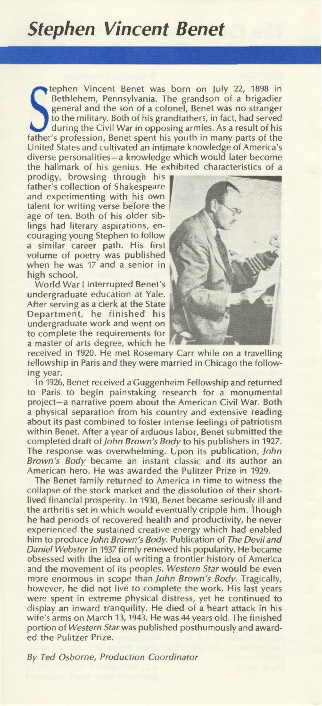## **Stephen Vincent Benet**

Father's profession, Benet spent his youth in many parts of the father's profession, Benet spent his youth in many parts of the father's profession, Benet spent his youth in many parts of the father's profession, Benet spe tephen Vincent Benet was born on July 22, 1898 in Bethlehem, Pennsylvania. The grandson of a brigadier general and the son of a colonel, Benet was no stranger to the military. Both of his grandfathers, in fact, had served during the Civil War in opposing armies. As a result of his United States and cultivated an intimate knowledge of America's diverse personalities-a knowledge which would later become the hallmark of his genius. He exhibited characteristics of a

prodigy, browsing through his father's collection of Shakespeare and experimenting with his own talent for writing verse before the age of ten. Both of his older siblings had literary aspirations, encouraging young Stephen to follow a similar career path. His first volume of poetry was published when he was 17 and a senior in high school.

World War I interrupted Benet's undergraduate education at Yale. After serving as a clerk at the State Department, he finished his undergraduate work and went on to complete the requirements for a master of arts degree, which he



received in 1920. He met Rosemary Carr while on a travelling fellowship in Paris and they were married in Chicago the following year.

In 1926, Benet received a Guggenheim Fellowship and returned to Paris to begin painstaking research for a monumental project-a narrative poem about the American Civil War. Both a physical separation from his country and extensive reading about its past combined to foster intense feelings of patriotism within Benet. After a year of arduous labor, Benet submitted the completed draft of john Brown's Body to his publishers in 1927. The response was overwhelming. Upon its publication, John Brown 's Body became an instant classic and its author an American hero. He was awarded the Pulitzer Prize in 1929.

The Benet family returned to America in time to witness the collapse of the stock market and the dissolution of their shortlived financial prosperity. In 1930, Benet became seriously ill and the arthritis set in which would eventually cripple him. Though he had periods of recovered health and productivity, he never experienced the sustained creative energy which had enabled him to produce John Brown's Body. Publication of The Devil and Daniel Webster in 1937 firmly renewed his popularity. He became obsessed with the idea of writing a frontier history of America and the movement of its peoples. Western Star would be even more enormous in scope than John Brown's Body. Tragically, however, he did not live to complete the work. His last years were spent in extreme physical distress, yet he continued to display an inward tranquility. He died of a heart attack in his wife's arms on March 13, 1943. He was 44 years old. The finished portion of Western Star was published posthumously and awarded the Pulitzer Prize.

By Ted Osborne, Production Coordinator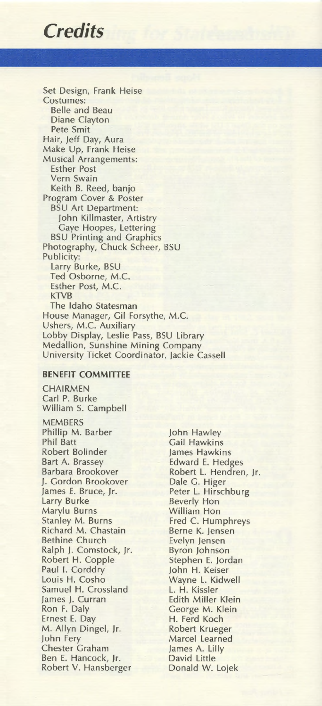### *Credits*

Set Design, Frank Heise Costumes: Belle and Beau Diane Clayton Pete Smit Hair, Jeff Day, Aura Make Up, Frank Heise Musical Arrangements: Esther Post Vern Swain Keith B. Reed, banjo Program Cover & Poster BSU Art Department: John Killmaster, Artistry Gaye Hoopes, Lettering BSU Printing and Graphics Photography, Chuck Scheer, BSU Publicity: Larry Burke, BSU Ted Osborne, M.C. Esther Post, M.C. KTVB The Idaho Statesman House Manager, Gil Forsythe, M.C. Ushers, M.C. Auxiliary Lobby Display, Leslie Pass, BSU Library Medallion, Sunshine Mining Company University Ticket Coordinator, Jackie Cassell

#### **BENEFIT COMMITTEE**

**CHAIRMEN** Carl P. Burke William S. Campbell MEMBERS Phillip M. Barber Phil Batt Robert Bolinder Bart A. Brassey Barbara Brookover J. Gordon Brookover James E. Bruce, Jr. Larry Burke Marylu Burns Stanley M. Burns Richard M. Chastain Bethine Church Ralph J. Comstock, Jr. Robert H. Copple Paul I. Corddry Louis H. Cosho Samuel H. Crossland James J. Curran Ron F. Daly Ernest E. Day M. Allyn Dingel, Jr. John Fery Chester Graham Ben E. Hancock, Jr. Robert V. Hansberger

John Hawley Gail Hawkins James Hawkins Edward E. Hedges Robert L. Hendren, Jr. Dale G. Higer Peter L. Hirschburg **Beverly Hon William Hon** Fred C. Humphreys Berne K. Jensen Evelyn Jensen Byron Johnson Stephen E. Jordan John H. Keiser Wayne L. Kidwell L. H. Kissler Edith Miller Klein George M. Klein H. Ferd Koch Robert Krueger Marcel Learned James A. Lilly David Little Donald W. Lojek